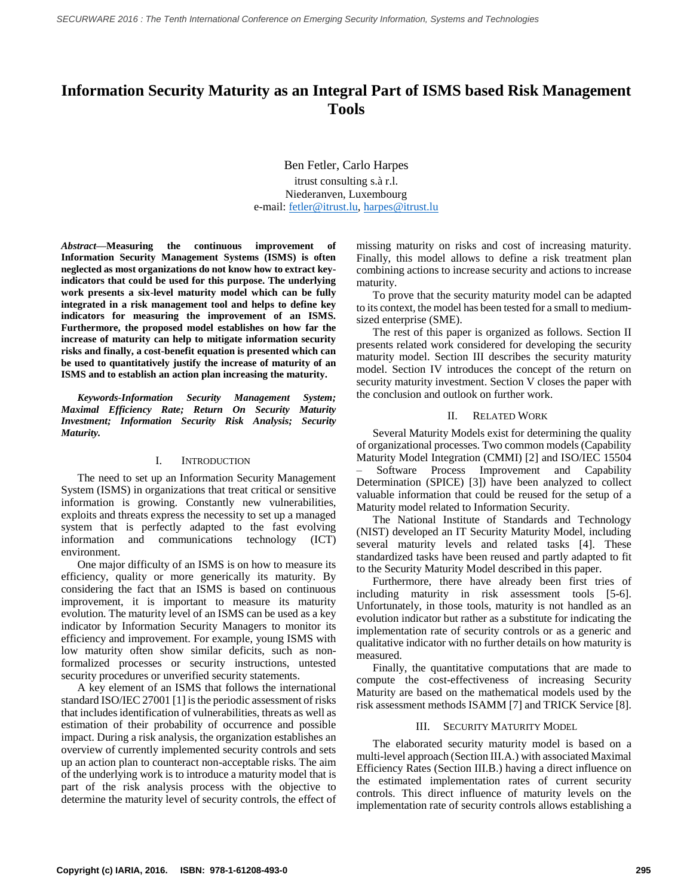# **Information Security Maturity as an Integral Part of ISMS based Risk Management Tools**

Ben Fetler, Carlo Harpes itrust consulting s.à r.l. Niederanven, Luxembourg e-mail: [fetler@itrust.lu,](mailto:fetler@itrust.lu) [harpes@itrust.lu](mailto:harpes@itrust.lu)

*Abstract***—Measuring the continuous improvement of Information Security Management Systems (ISMS) is often neglected as most organizations do not know how to extract keyindicators that could be used for this purpose. The underlying work presents a six-level maturity model which can be fully integrated in a risk management tool and helps to define key indicators for measuring the improvement of an ISMS. Furthermore, the proposed model establishes on how far the increase of maturity can help to mitigate information security risks and finally, a cost-benefit equation is presented which can be used to quantitatively justify the increase of maturity of an ISMS and to establish an action plan increasing the maturity.**

*Keywords-Information Security Management System; Maximal Efficiency Rate; Return On Security Maturity Investment; Information Security Risk Analysis; Security Maturity.*

## I. INTRODUCTION

The need to set up an Information Security Management System (ISMS) in organizations that treat critical or sensitive information is growing. Constantly new vulnerabilities, exploits and threats express the necessity to set up a managed system that is perfectly adapted to the fast evolving information and communications technology (ICT) environment.

One major difficulty of an ISMS is on how to measure its efficiency, quality or more generically its maturity. By considering the fact that an ISMS is based on continuous improvement, it is important to measure its maturity evolution. The maturity level of an ISMS can be used as a key indicator by Information Security Managers to monitor its efficiency and improvement. For example, young ISMS with low maturity often show similar deficits, such as nonformalized processes or security instructions, untested security procedures or unverified security statements.

A key element of an ISMS that follows the international standard ISO/IEC 27001 [1] is the periodic assessment of risks that includes identification of vulnerabilities, threats as well as estimation of their probability of occurrence and possible impact. During a risk analysis, the organization establishes an overview of currently implemented security controls and sets up an action plan to counteract non-acceptable risks. The aim of the underlying work is to introduce a maturity model that is part of the risk analysis process with the objective to determine the maturity level of security controls, the effect of

missing maturity on risks and cost of increasing maturity. Finally, this model allows to define a risk treatment plan combining actions to increase security and actions to increase maturity.

To prove that the security maturity model can be adapted to its context, the model has been tested for a small to mediumsized enterprise (SME).

The rest of this paper is organized as follows. Section II presents related work considered for developing the security maturity model. Section III describes the security maturity model. Section IV introduces the concept of the return on security maturity investment. Section V closes the paper with the conclusion and outlook on further work.

# II. RELATED WORK

Several Maturity Models exist for determining the quality of organizational processes. Two common models (Capability Maturity Model Integration (CMMI) [2] and ISO/IEC 15504 – Software Process Improvement and Capability Determination (SPICE) [3]) have been analyzed to collect valuable information that could be reused for the setup of a Maturity model related to Information Security.

The National Institute of Standards and Technology (NIST) developed an IT Security Maturity Model, including several maturity levels and related tasks [4]. These standardized tasks have been reused and partly adapted to fit to the Security Maturity Model described in this paper.

Furthermore, there have already been first tries of including maturity in risk assessment tools [5-6]. Unfortunately, in those tools, maturity is not handled as an evolution indicator but rather as a substitute for indicating the implementation rate of security controls or as a generic and qualitative indicator with no further details on how maturity is measured.

Finally, the quantitative computations that are made to compute the cost-effectiveness of increasing Security Maturity are based on the mathematical models used by the risk assessment methods ISAMM [7] and TRICK Service [8].

# III. SECURITY MATURITY MODEL

The elaborated security maturity model is based on a multi-level approach (Section III.A.) with associated Maximal Efficiency Rates (Section III.B.) having a direct influence on the estimated implementation rates of current security controls. This direct influence of maturity levels on the implementation rate of security controls allows establishing a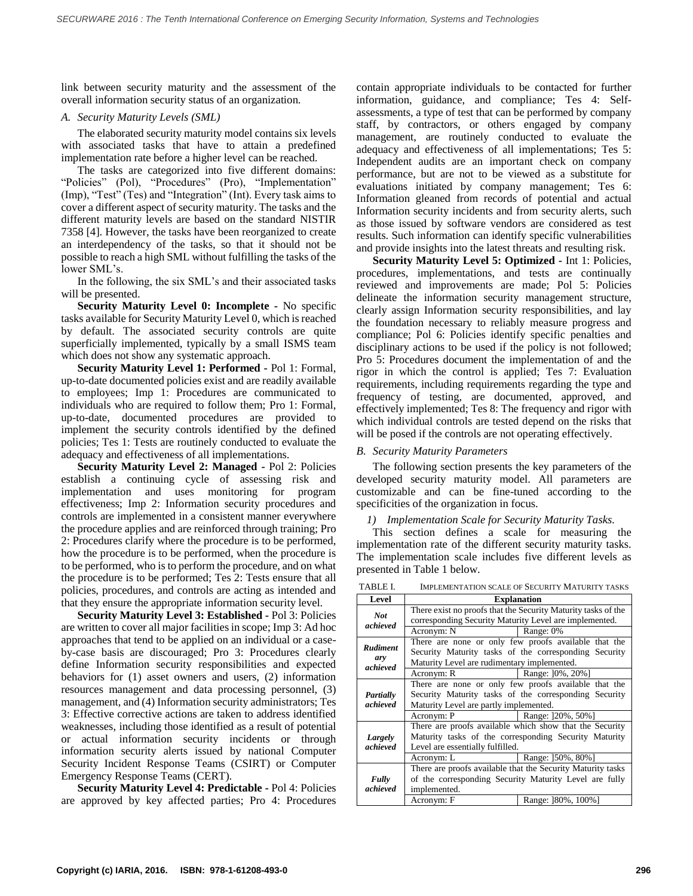link between security maturity and the assessment of the overall information security status of an organization.

# *A. Security Maturity Levels (SML)*

The elaborated security maturity model contains six levels with associated tasks that have to attain a predefined implementation rate before a higher level can be reached.

The tasks are categorized into five different domains: "Policies" (Pol), "Procedures" (Pro), "Implementation" (Imp), "Test" (Tes) and "Integration" (Int). Every task aims to cover a different aspect of security maturity. The tasks and the different maturity levels are based on the standard NISTIR 7358 [4]. However, the tasks have been reorganized to create an interdependency of the tasks, so that it should not be possible to reach a high SML without fulfilling the tasks of the lower SML's.

In the following, the six SML's and their associated tasks will be presented.

**Security Maturity Level 0: Incomplete -** No specific tasks available for Security Maturity Level 0, which is reached by default. The associated security controls are quite superficially implemented, typically by a small ISMS team which does not show any systematic approach.

**Security Maturity Level 1: Performed -** Pol 1: Formal, up-to-date documented policies exist and are readily available to employees; Imp 1: Procedures are communicated to individuals who are required to follow them; Pro 1: Formal, up-to-date, documented procedures are provided to implement the security controls identified by the defined policies; Tes 1: Tests are routinely conducted to evaluate the adequacy and effectiveness of all implementations.

**Security Maturity Level 2: Managed -** Pol 2: Policies establish a continuing cycle of assessing risk and implementation and uses monitoring for program effectiveness; Imp 2: Information security procedures and controls are implemented in a consistent manner everywhere the procedure applies and are reinforced through training; Pro 2: Procedures clarify where the procedure is to be performed, how the procedure is to be performed, when the procedure is to be performed, who is to perform the procedure, and on what the procedure is to be performed; Tes 2: Tests ensure that all policies, procedures, and controls are acting as intended and that they ensure the appropriate information security level.

**Security Maturity Level 3: Established -** Pol 3: Policies are written to cover all major facilities in scope; Imp 3: Ad hoc approaches that tend to be applied on an individual or a caseby-case basis are discouraged; Pro 3: Procedures clearly define Information security responsibilities and expected behaviors for (1) asset owners and users, (2) information resources management and data processing personnel, (3) management, and (4) Information security administrators; Tes 3: Effective corrective actions are taken to address identified weaknesses, including those identified as a result of potential or actual information security incidents or through information security alerts issued by national Computer Security Incident Response Teams (CSIRT) or Computer Emergency Response Teams (CERT).

**Security Maturity Level 4: Predictable -** Pol 4: Policies are approved by key affected parties; Pro 4: Procedures

contain appropriate individuals to be contacted for further information, guidance, and compliance; Tes 4: Selfassessments, a type of test that can be performed by company staff, by contractors, or others engaged by company management, are routinely conducted to evaluate the adequacy and effectiveness of all implementations; Tes 5: Independent audits are an important check on company performance, but are not to be viewed as a substitute for evaluations initiated by company management; Tes 6: Information gleaned from records of potential and actual Information security incidents and from security alerts, such as those issued by software vendors are considered as test results. Such information can identify specific vulnerabilities and provide insights into the latest threats and resulting risk.

**Security Maturity Level 5: Optimized -** Int 1: Policies, procedures, implementations, and tests are continually reviewed and improvements are made; Pol 5: Policies delineate the information security management structure, clearly assign Information security responsibilities, and lay the foundation necessary to reliably measure progress and compliance; Pol 6: Policies identify specific penalties and disciplinary actions to be used if the policy is not followed; Pro 5: Procedures document the implementation of and the rigor in which the control is applied; Tes 7: Evaluation requirements, including requirements regarding the type and frequency of testing, are documented, approved, and effectively implemented; Tes 8: The frequency and rigor with which individual controls are tested depend on the risks that will be posed if the controls are not operating effectively.

# *B. Security Maturity Parameters*

The following section presents the key parameters of the developed security maturity model. All parameters are customizable and can be fine-tuned according to the specificities of the organization in focus.

# *1) Implementation Scale for Security Maturity Tasks.*

This section defines a scale for measuring the implementation rate of the different security maturity tasks. The implementation scale includes five different levels as presented in Table 1 below.

TABLE I. IMPLEMENTATION SCALE OF SECURITY MATURITY TASKS

|                                    | IMI EEMENTATION SCAEL OF SECONITT MATCINITT TASINS            |                                                         |  |
|------------------------------------|---------------------------------------------------------------|---------------------------------------------------------|--|
| Level                              | <b>Explanation</b>                                            |                                                         |  |
| <b>Not</b><br>achieved             | There exist no proofs that the Security Maturity tasks of the |                                                         |  |
|                                    | corresponding Security Maturity Level are implemented.        |                                                         |  |
|                                    | Acronym: N                                                    | Range: 0%                                               |  |
| <b>Rudiment</b><br>ary<br>achieved | There are none or only few proofs available that the          |                                                         |  |
|                                    |                                                               | Security Maturity tasks of the corresponding Security   |  |
|                                    | Maturity Level are rudimentary implemented.                   |                                                         |  |
|                                    | Acronym: R                                                    | Range: 10%, 20%                                         |  |
| Partially<br>achieved              |                                                               | There are none or only few proofs available that the    |  |
|                                    | Security Maturity tasks of the corresponding Security         |                                                         |  |
|                                    | Maturity Level are partly implemented.                        |                                                         |  |
|                                    | Acronym: P                                                    | Range: 120%, 50%1                                       |  |
| Largely<br>achieved                |                                                               | There are proofs available which show that the Security |  |
|                                    | Maturity tasks of the corresponding Security Maturity         |                                                         |  |
|                                    | Level are essentially fulfilled.                              |                                                         |  |
|                                    | Acronym: L                                                    | Range: 150%, 80%]                                       |  |
| Fully<br>achieved                  | There are proofs available that the Security Maturity tasks   |                                                         |  |
|                                    | of the corresponding Security Maturity Level are fully        |                                                         |  |
|                                    | implemented.                                                  |                                                         |  |
|                                    | Acronym: F                                                    | Range: 180%, 100%]                                      |  |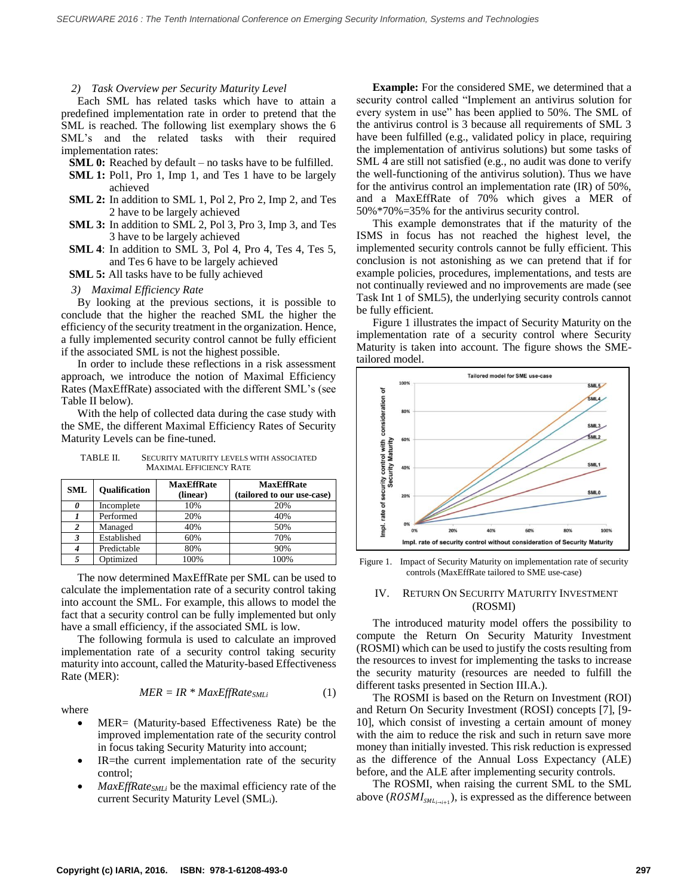#### *2) Task Overview per Security Maturity Level*

Each SML has related tasks which have to attain a predefined implementation rate in order to pretend that the SML is reached. The following list exemplary shows the 6 SML's and the related tasks with their required implementation rates:

**SML 0:** Reached by default – no tasks have to be fulfilled.

- **SML 1:** Pol1, Pro 1, Imp 1, and Tes 1 have to be largely achieved
- **SML 2:** In addition to SML 1, Pol 2, Pro 2, Imp 2, and Tes 2 have to be largely achieved
- **SML 3:** In addition to SML 2, Pol 3, Pro 3, Imp 3, and Tes 3 have to be largely achieved
- **SML 4**: In addition to SML 3, Pol 4, Pro 4, Tes 4, Tes 5, and Tes 6 have to be largely achieved
- **SML 5:** All tasks have to be fully achieved

*3) Maximal Efficiency Rate*

By looking at the previous sections, it is possible to conclude that the higher the reached SML the higher the efficiency of the security treatment in the organization. Hence, a fully implemented security control cannot be fully efficient if the associated SML is not the highest possible.

In order to include these reflections in a risk assessment approach, we introduce the notion of Maximal Efficiency Rates (MaxEffRate) associated with the different SML's (see Table II below).

With the help of collected data during the case study with the SME, the different Maximal Efficiency Rates of Security Maturity Levels can be fine-tuned.

| TABLE II. | <b>SECURITY MATURITY LEVELS WITH ASSOCIATED</b> |  |
|-----------|-------------------------------------------------|--|
|           | <b>MAXIMAL EFFICIENCY RATE</b>                  |  |

| <b>SML</b>              | <b>Oualification</b> | <b>MaxEffRate</b><br>(linear) | <b>MaxEffRate</b><br>(tailored to our use-case) |
|-------------------------|----------------------|-------------------------------|-------------------------------------------------|
| 0                       | Incomplete           | 10%                           | 20%                                             |
|                         | Performed            | 20%                           | 40%                                             |
| $\overline{\mathbf{c}}$ | Managed              | 40%                           | 50%                                             |
| 3                       | Established          | 60%                           | 70%                                             |
| 4                       | Predictable          | 80%                           | 90%                                             |
|                         | Optimized            | 100%                          | 100%                                            |

The now determined MaxEffRate per SML can be used to calculate the implementation rate of a security control taking into account the SML. For example, this allows to model the fact that a security control can be fully implemented but only have a small efficiency, if the associated SML is low.

The following formula is used to calculate an improved implementation rate of a security control taking security maturity into account, called the Maturity-based Effectiveness Rate (MER):

$$
MER = IR * MaxEffRate_{SMLi} \tag{1}
$$

where

- MER= (Maturity-based Effectiveness Rate) be the improved implementation rate of the security control in focus taking Security Maturity into account;
- IR=the current implementation rate of the security control;
- *MaxEffRateSMLi* be the maximal efficiency rate of the current Security Maturity Level (SMLi).

**Example:** For the considered SME, we determined that a security control called "Implement an antivirus solution for every system in use" has been applied to 50%. The SML of the antivirus control is 3 because all requirements of SML 3 have been fulfilled (e.g., validated policy in place, requiring the implementation of antivirus solutions) but some tasks of SML 4 are still not satisfied (e.g., no audit was done to verify the well-functioning of the antivirus solution). Thus we have for the antivirus control an implementation rate (IR) of 50%, and a MaxEffRate of 70% which gives a MER of 50%\*70%=35% for the antivirus security control.

This example demonstrates that if the maturity of the ISMS in focus has not reached the highest level, the implemented security controls cannot be fully efficient. This conclusion is not astonishing as we can pretend that if for example policies, procedures, implementations, and tests are not continually reviewed and no improvements are made (see Task Int 1 of SML5), the underlying security controls cannot be fully efficient.

Figure 1 illustrates the impact of Security Maturity on the implementation rate of a security control where Security Maturity is taken into account. The figure shows the SMEtailored model.



Figure 1. Impact of Security Maturity on implementation rate of security controls (MaxEffRate tailored to SME use-case)

## IV. RETURN ON SECURITY MATURITY INVESTMENT (ROSMI)

The introduced maturity model offers the possibility to compute the Return On Security Maturity Investment (ROSMI) which can be used to justify the costs resulting from the resources to invest for implementing the tasks to increase the security maturity (resources are needed to fulfill the different tasks presented in Section III.A.).

The ROSMI is based on the Return on Investment (ROI) and Return On Security Investment (ROSI) concepts [7], [9- 10], which consist of investing a certain amount of money with the aim to reduce the risk and such in return save more money than initially invested. This risk reduction is expressed as the difference of the Annual Loss Expectancy (ALE) before, and the ALE after implementing security controls.

The ROSMI, when raising the current SML to the SML above ( $ROSMI_{sML_{i\rightarrow i+1}}$ ), is expressed as the difference between